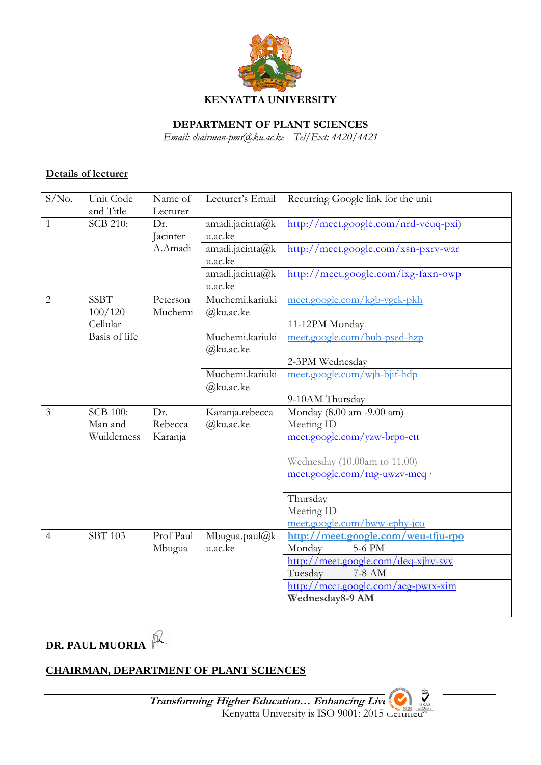

**DEPARTMENT OF PLANT SCIENCES**

*Email: chairman-pms@ku.ac.ke Tel/Ext: 4420/4421*

## **Details of lecturer**

| S/No.          | Unit Code                    | Name of         | Lecturer's Email           | Recurring Google link for the unit                                                  |
|----------------|------------------------------|-----------------|----------------------------|-------------------------------------------------------------------------------------|
| 1              | and Title<br><b>SCB 210:</b> | Lecturer        |                            |                                                                                     |
|                |                              | Dr.<br>Jacinter | amadi.jacinta@k<br>u.ac.ke | $\frac{http://meet.google.com/nrd-veuq-pxi)}{http://meet.google.com/nrd-veuq-pxi)}$ |
|                |                              | A.Amadi         | amadi.jacinta@k            | $\frac{http://meet.google.com/xsn-pxrv-war}{$                                       |
|                |                              |                 | u.ac.ke                    |                                                                                     |
|                |                              |                 | amadi.jacinta@k            | $\frac{http://meet.google.com/ixg-faxn-owp}{http://meet.google.com/ixg-faxn-owp}$   |
|                |                              |                 | u.ac.ke                    |                                                                                     |
| $\overline{2}$ | <b>SSBT</b>                  | Peterson        | Muchemi.kariuki            | meet.google.com/kgb-ygek-pkh                                                        |
|                | 100/120<br>Cellular          | Muchemi         | @ku.ac.ke                  | 11-12PM Monday                                                                      |
|                | Basis of life                |                 | Muchemi.kariuki            | meet.google.com/bub-psed-hzp                                                        |
|                |                              |                 | @ku.ac.ke                  |                                                                                     |
|                |                              |                 |                            | 2-3PM Wednesday                                                                     |
|                |                              |                 | Muchemi.kariuki            | meet.google.com/wjh-bjif-hdp                                                        |
|                |                              |                 | @ku.ac.ke                  |                                                                                     |
|                |                              |                 |                            | 9-10AM Thursday                                                                     |
|                |                              |                 |                            |                                                                                     |
| 3              | <b>SCB 100:</b>              | Dr.             | Karanja.rebecca            | Monday (8.00 am -9.00 am)                                                           |
|                | Man and                      | Rebecca         | @ku.ac.ke                  | Meeting ID                                                                          |
|                | Wuilderness                  | Karanja         |                            | meet.google.com/yzw-brpo-ett                                                        |
|                |                              |                 |                            | Wednesday (10.00am to 11.00)                                                        |
|                |                              |                 |                            | meet.google.com/rng-uwzv-meq ·                                                      |
|                |                              |                 |                            |                                                                                     |
|                |                              |                 |                            | Thursday                                                                            |
|                |                              |                 |                            | Meeting ID                                                                          |
| 4              | <b>SBT 103</b>               | Prof Paul       | Mbugua.paul@k              | meet.google.com/bww-ephy-jco<br>http://meet.google.com/weu-tfju-rpo                 |
|                |                              | Mbugua          | u.ac.ke                    | Monday<br>5-6 PM                                                                    |
|                |                              |                 |                            | http://meet.google.com/deq-xjhv-svv                                                 |
|                |                              |                 |                            | Tuesday<br>7-8 AM                                                                   |
|                |                              |                 |                            | http://meet.google.com/aeg-pwtx-xim                                                 |
|                |                              |                 |                            | Wednesday8-9 AM                                                                     |

**DR. PAUL MUORIA**

# **CHAIRMAN, DEPARTMENT OF PLANT SCIENCES**

**Transforming Higher Education… Enhancing Lives** Higher Education... Enhancing Live Congress Kenyatta University is ISO 9001: 2015 Certified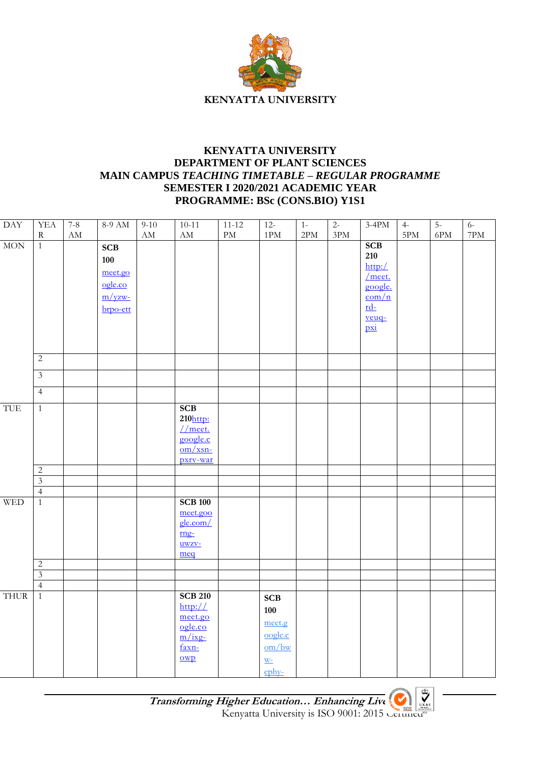

## **KENYATTA UNIVERSITY DEPARTMENT OF PLANT SCIENCES MAIN CAMPUS** *TEACHING TIMETABLE – REGULAR PROGRAMME* **SEMESTER I 2020/2021 ACADEMIC YEAR PROGRAMME: BSc (CONS.BIO) Y1S1**

| $\overline{\text{DAY}}$ | <b>YEA</b>     | $7 - 8$                | 8-9 AM     | $9-10$                   | $10-11$                            | $11 - 12$              | $12 -$                   | $\overline{1}$ | $2 -$          | $3-4PM$                       | $4-$           | $5-$           | $6-$           |
|-------------------------|----------------|------------------------|------------|--------------------------|------------------------------------|------------------------|--------------------------|----------------|----------------|-------------------------------|----------------|----------------|----------------|
|                         | ${\bf R}$      | $\mathbf{A}\mathbf{M}$ |            | $\mathcal{A}\mathcal{M}$ | $\rm AM$                           | $\mathop{\mathrm{PM}}$ | 1PM                      | $2\mathrm{PM}$ | $3\mathrm{PM}$ |                               | $5\mathrm{PM}$ | $6\mathrm{PM}$ | $7\mathrm{PM}$ |
| MON                     | $\overline{1}$ |                        | <b>SCB</b> |                          |                                    |                        |                          |                |                | SCB                           |                |                |                |
|                         |                |                        |            |                          |                                    |                        |                          |                |                | 210                           |                |                |                |
|                         |                |                        | 100        |                          |                                    |                        |                          |                |                | http://                       |                |                |                |
|                         |                |                        | meet.go    |                          |                                    |                        |                          |                |                | $\sqrt{\text{meet.}}$         |                |                |                |
|                         |                |                        | ogle.co    |                          |                                    |                        |                          |                |                | google.                       |                |                |                |
|                         |                |                        | $m/yzw$ -  |                          |                                    |                        |                          |                |                | $\frac{\text{com}}{\text{m}}$ |                |                |                |
|                         |                |                        | brpo-ett   |                          |                                    |                        |                          |                |                | $rd-$                         |                |                |                |
|                         |                |                        |            |                          |                                    |                        |                          |                |                | $rac{veuq}{pxi}$              |                |                |                |
|                         |                |                        |            |                          |                                    |                        |                          |                |                |                               |                |                |                |
|                         |                |                        |            |                          |                                    |                        |                          |                |                |                               |                |                |                |
|                         | $\overline{2}$ |                        |            |                          |                                    |                        |                          |                |                |                               |                |                |                |
|                         | $\mathfrak{Z}$ |                        |            |                          |                                    |                        |                          |                |                |                               |                |                |                |
|                         | $\overline{4}$ |                        |            |                          |                                    |                        |                          |                |                |                               |                |                |                |
| TUE                     | $1\,$          |                        |            |                          | SCB                                |                        |                          |                |                |                               |                |                |                |
|                         |                |                        |            |                          | $210$ http:                        |                        |                          |                |                |                               |                |                |                |
|                         |                |                        |            |                          | $1/m$ eet.                         |                        |                          |                |                |                               |                |                |                |
|                         |                |                        |            |                          | google.c                           |                        |                          |                |                |                               |                |                |                |
|                         |                |                        |            |                          | $\frac{\text{om}}{\text{cm}}$ xsn- |                        |                          |                |                |                               |                |                |                |
|                         |                |                        |            |                          | pxrv-war                           |                        |                          |                |                |                               |                |                |                |
|                         | $\overline{c}$ |                        |            |                          |                                    |                        |                          |                |                |                               |                |                |                |
|                         | $\overline{3}$ |                        |            |                          |                                    |                        |                          |                |                |                               |                |                |                |
|                         | $\overline{4}$ |                        |            |                          |                                    |                        |                          |                |                |                               |                |                |                |
| <b>WED</b>              | $\overline{1}$ |                        |            |                          | <b>SCB 100</b>                     |                        |                          |                |                |                               |                |                |                |
|                         |                |                        |            |                          | meet.goo                           |                        |                          |                |                |                               |                |                |                |
|                         |                |                        |            |                          | gle.com/                           |                        |                          |                |                |                               |                |                |                |
|                         |                |                        |            |                          | mg <sub>z</sub>                    |                        |                          |                |                |                               |                |                |                |
|                         |                |                        |            |                          | uwzy-                              |                        |                          |                |                |                               |                |                |                |
|                         | $\overline{2}$ |                        |            |                          | meq                                |                        |                          |                |                |                               |                |                |                |
|                         | $\overline{3}$ |                        |            |                          |                                    |                        |                          |                |                |                               |                |                |                |
|                         | $\overline{4}$ |                        |            |                          |                                    |                        |                          |                |                |                               |                |                |                |
| <b>THUR</b>             | $\overline{1}$ |                        |            |                          | <b>SCB 210</b>                     |                        | SCB                      |                |                |                               |                |                |                |
|                         |                |                        |            |                          | http://                            |                        |                          |                |                |                               |                |                |                |
|                         |                |                        |            |                          | meet.go                            |                        | 100                      |                |                |                               |                |                |                |
|                         |                |                        |            |                          | ogle.co                            |                        | meet.g                   |                |                |                               |                |                |                |
|                         |                |                        |            |                          | $\frac{m}{ixg}$                    |                        | oogle.c                  |                |                |                               |                |                |                |
|                         |                |                        |            |                          | faxn-                              |                        | om/bw                    |                |                |                               |                |                |                |
|                         |                |                        |            |                          | $\overline{\text{owp}}$            |                        | $\underline{\mathbf{W}}$ |                |                |                               |                |                |                |
|                         |                |                        |            |                          |                                    |                        | $e$ phy-                 |                |                |                               |                |                |                |

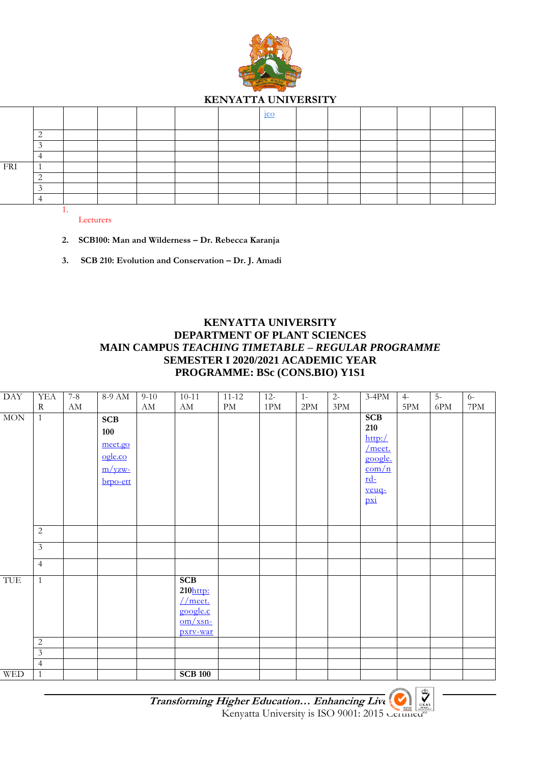

#### **KENYATTA UNIVERSITY**

|     |  |  |  | 1CC |  |  |  |
|-----|--|--|--|-----|--|--|--|
|     |  |  |  |     |  |  |  |
|     |  |  |  |     |  |  |  |
|     |  |  |  |     |  |  |  |
| FRI |  |  |  |     |  |  |  |
|     |  |  |  |     |  |  |  |
|     |  |  |  |     |  |  |  |
|     |  |  |  |     |  |  |  |
|     |  |  |  |     |  |  |  |

Lecturers

- **2. SCB100: Man and Wilderness – Dr. Rebecca Karanja**
- **3. SCB 210: Evolution and Conservation – Dr. J. Amadi**

## **KENYATTA UNIVERSITY DEPARTMENT OF PLANT SCIENCES MAIN CAMPUS** *TEACHING TIMETABLE – REGULAR PROGRAMME* **SEMESTER I 2020/2021 ACADEMIC YEAR PROGRAMME: BSc (CONS.BIO) Y1S1**

| $\mathrm{DAY}$ | <b>YEA</b>     | $7 - 8$                | 8-9 AM                                                           | $9 - 10$               | $10 - 11$                                                                  | $11 - 12$                  | $12 -$         | $1-$           | $2-$           | $3-4PM$                                                                                                     | $4-$ | $5-$ | $6-$           |
|----------------|----------------|------------------------|------------------------------------------------------------------|------------------------|----------------------------------------------------------------------------|----------------------------|----------------|----------------|----------------|-------------------------------------------------------------------------------------------------------------|------|------|----------------|
|                | $\mathbf R$    | $\mathbf{A}\mathbf{M}$ |                                                                  | $\mathbf{A}\mathbf{M}$ | $\mathbf{A}\mathbf{M}$                                                     | $\mathop{\rm PM}\nolimits$ | $1\mathrm{PM}$ | $2\mathrm{PM}$ | $3\mathrm{PM}$ |                                                                                                             | 5PM  | 6PM  | $7\mathrm{PM}$ |
| $\rm{MON}$     | $\mathbf{1}$   |                        | <b>SCB</b><br>100<br>meet.go<br>ogle.co<br>$m$ /yzw-<br>brpo-ett |                        |                                                                            |                            |                |                |                | <b>SCB</b><br>210<br>http://<br>$/m$ eet.<br>google.<br>$\frac{\text{com}}{n}$<br>$rd-$<br>$rac{veuq}{pxi}$ |      |      |                |
|                |                |                        |                                                                  |                        |                                                                            |                            |                |                |                |                                                                                                             |      |      |                |
|                | $\mathbf{2}$   |                        |                                                                  |                        |                                                                            |                            |                |                |                |                                                                                                             |      |      |                |
|                | $\overline{3}$ |                        |                                                                  |                        |                                                                            |                            |                |                |                |                                                                                                             |      |      |                |
|                | $\overline{4}$ |                        |                                                                  |                        |                                                                            |                            |                |                |                |                                                                                                             |      |      |                |
| TUE            | $\mathbf{1}$   |                        |                                                                  |                        | <b>SCB</b><br>210http:<br>$//$ meet.<br>google.c<br>$om/xsn$ -<br>pxrv-war |                            |                |                |                |                                                                                                             |      |      |                |
|                | $\mathbf{2}$   |                        |                                                                  |                        |                                                                            |                            |                |                |                |                                                                                                             |      |      |                |
|                | $\mathfrak{Z}$ |                        |                                                                  |                        |                                                                            |                            |                |                |                |                                                                                                             |      |      |                |
|                | $\overline{4}$ |                        |                                                                  |                        |                                                                            |                            |                |                |                |                                                                                                             |      |      |                |
| <b>WED</b>     | $\mathbf{1}$   |                        |                                                                  |                        | <b>SCB 100</b>                                                             |                            |                |                |                |                                                                                                             |      |      |                |